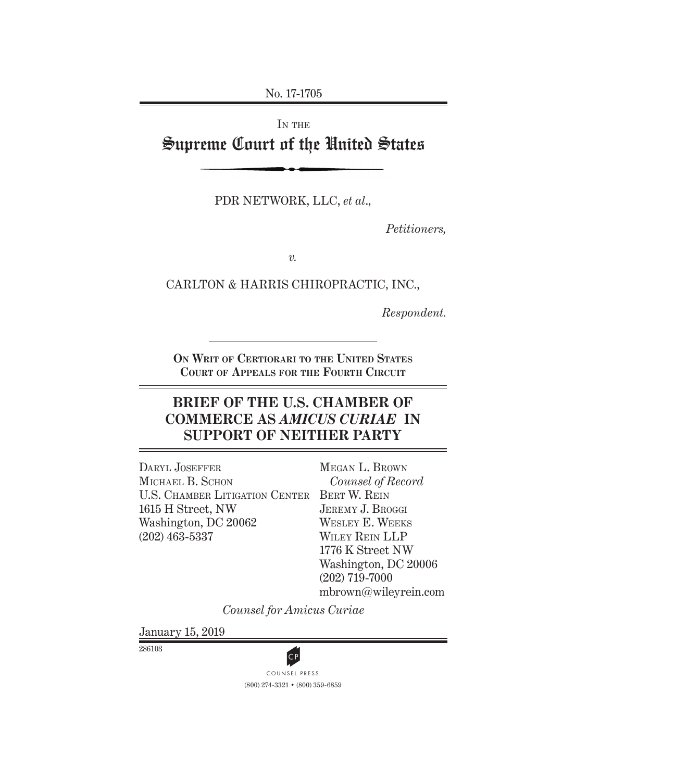No. 17-1705

# IN THE Supreme Court of the United States

PDR NETWORK, LLC, *et al*.,

*Petitioners,*

*v.*

CARLTON & HARRIS CHIROPRACTIC, INC.,

*Respondent.*

**On Writ of Certiorari to the United States Court of Appeals for the Fourth Circuit**

# **BRIEF OF THE U.S. CHAMBER OF COMMERCE AS** *AMICUS CURIAE* **IN SUPPORT OF NEITHER PARTY**

U.S. CHAMBER LITIGATION CENTER BERT W. REIN DARYL JOSEFFER MICHAEL B. SCHON 1615 H Street, NW Washington, DC 20062 (202) 463-5337

Megan L. Brown *Counsel of Record* JEREMY J. BROGGI Wesley E. Weeks Wiley Rein LLP 1776 K Street NW Washington, DC 20006 (202) 719-7000 mbrown@wileyrein.com

*Counsel for Amicus Curiae*

January 15, 2019

286103



(800) 274-3321 • (800) 359-6859 **CP**<br>COUNSEL PRESS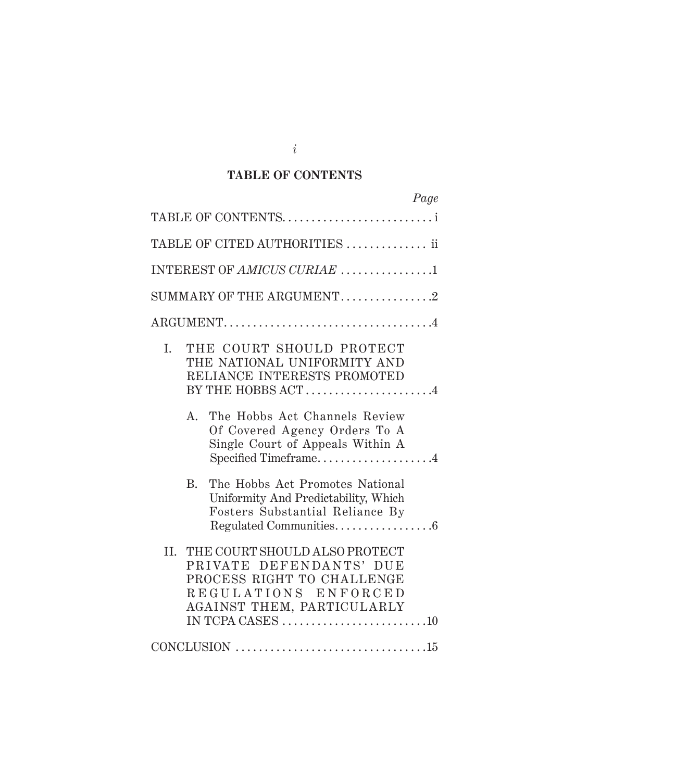### **TABLE OF CONTENTS**

| Page                                                                                                                                                                                                                   |
|------------------------------------------------------------------------------------------------------------------------------------------------------------------------------------------------------------------------|
| TABLE OF CONTENTS                                                                                                                                                                                                      |
| TABLE OF CITED AUTHORITIES  ii                                                                                                                                                                                         |
| INTEREST OF AMICUS CURIAE 1                                                                                                                                                                                            |
| SUMMARY OF THE ARGUMENT2                                                                                                                                                                                               |
|                                                                                                                                                                                                                        |
| THE COURT SHOULD PROTECT<br>I.<br>THE NATIONAL UNIFORMITY AND<br>RELIANCE INTERESTS PROMOTED<br>BY THE HOBBS ACT4<br>The Hobbs Act Channels Review<br>A.<br>Of Covered Agency Orders To A                              |
| Single Court of Appeals Within A<br>Specified Timeframe4                                                                                                                                                               |
| The Hobbs Act Promotes National<br>B.<br>Uniformity And Predictability, Which<br>Fosters Substantial Reliance By<br>Regulated Communities6                                                                             |
| II. THE COURT SHOULD ALSO PROTECT<br>PRIVATE DEFENDANTS' DUE<br>PROCESS RIGHT TO CHALLENGE<br>REGULATIONS ENFORCED<br>AGAINST THEM, PARTICULARLY<br>IN TCPA CASES $\dots\dots\dots\dots\dots\dots\dots\dots\dots\dots$ |
|                                                                                                                                                                                                                        |

*i*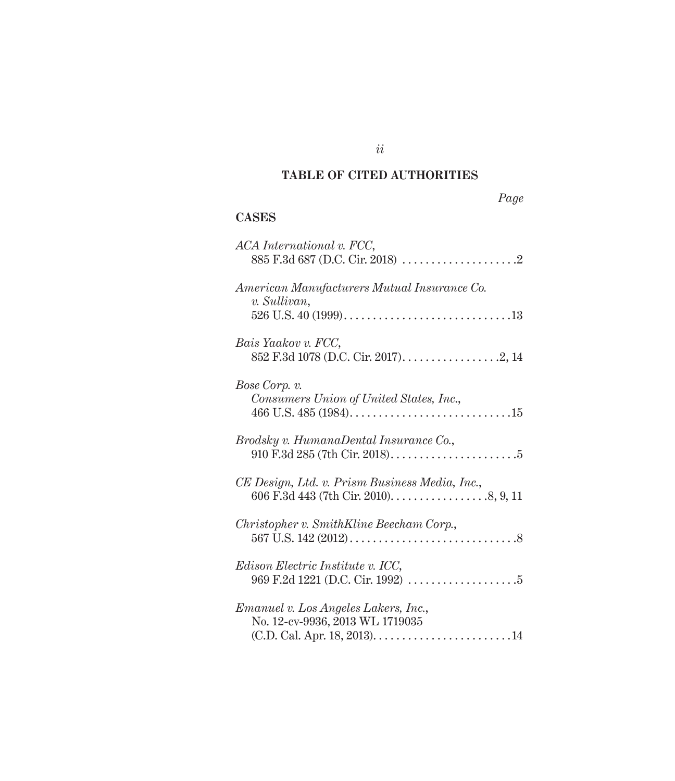## **TABLE OF CITED AUTHORITIES**

| $\boldsymbol{\mu}$<br>ν |
|-------------------------|
|-------------------------|

## **CASES**

| ACA International v. FCC,                                                                                                  |
|----------------------------------------------------------------------------------------------------------------------------|
| American Manufacturers Mutual Insurance Co.<br>v. Sullivan,                                                                |
| Bais Yaakov v. FCC,                                                                                                        |
| Bose Corp. v.<br>Consumers Union of United States, Inc.,                                                                   |
| Brodsky v. HumanaDental Insurance Co.,                                                                                     |
| CE Design, Ltd. v. Prism Business Media, Inc.,<br>606 F.3d 443 (7th Cir. 2010). $\dots \dots \dots \dots \dots$ . 8, 9, 11 |
| Christopher v. SmithKline Beecham Corp.,                                                                                   |
| <i>Edison Electric Institute v. ICC,</i>                                                                                   |
| <i>Emanuel v. Los Angeles Lakers, Inc.,</i><br>No. 12-cv-9936, 2013 WL 1719035                                             |

*ii*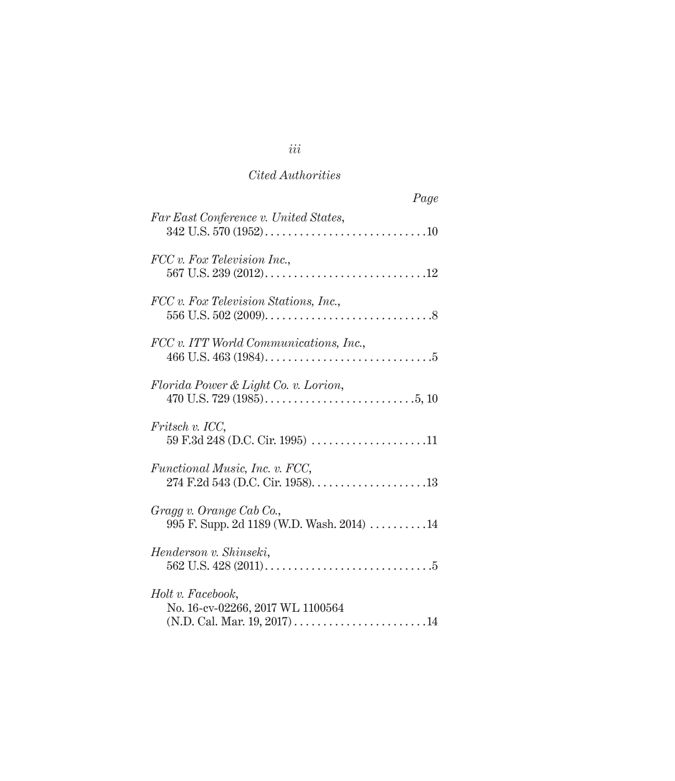| Page                                                                   |
|------------------------------------------------------------------------|
| Far East Conference v. United States,                                  |
| FCC v. Fox Television Inc.,                                            |
| FCC v. Fox Television Stations, Inc.,                                  |
| FCC v. ITT World Communications, Inc.,                                 |
| Florida Power & Light Co. v. Lorion,                                   |
| Fritsch v. ICC,                                                        |
| <i>Functional Music, Inc. v. FCC,</i>                                  |
| Gragg v. Orange Cab Co.,<br>995 F. Supp. 2d 1189 (W.D. Wash. 2014)  14 |
| Henderson v. Shinseki,                                                 |
| Holt v. Facebook,<br>No. 16-cv-02266, 2017 WL 1100564                  |

*iii*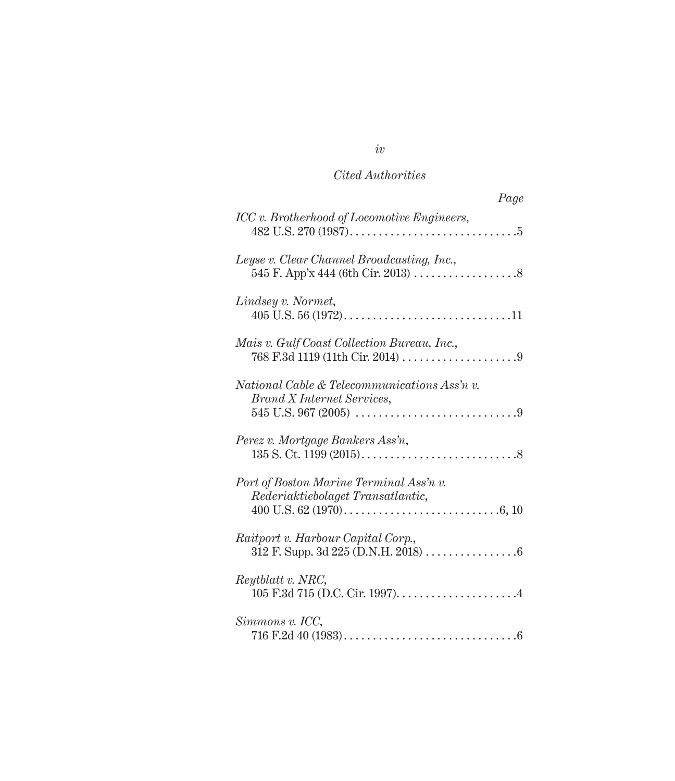| Page                                                                         |
|------------------------------------------------------------------------------|
| ICC v. Brotherhood of Locomotive Engineers,                                  |
| Leyse v. Clear Channel Broadcasting, Inc.,                                   |
| Lindsey v. Normet,                                                           |
| Mais v. Gulf Coast Collection Bureau, Inc.,                                  |
| National Cable & Telecommunications Ass'n v.<br>Brand X Internet Services,   |
| Perez v. Mortgage Bankers Ass'n,                                             |
| Port of Boston Marine Terminal Ass'n v.<br>Rederiaktiebolaget Transatlantic, |
| Raitport v. Harbour Capital Corp.,                                           |
| Reytblatt v. NRC,                                                            |
| Simmons v. ICC,                                                              |

*iv*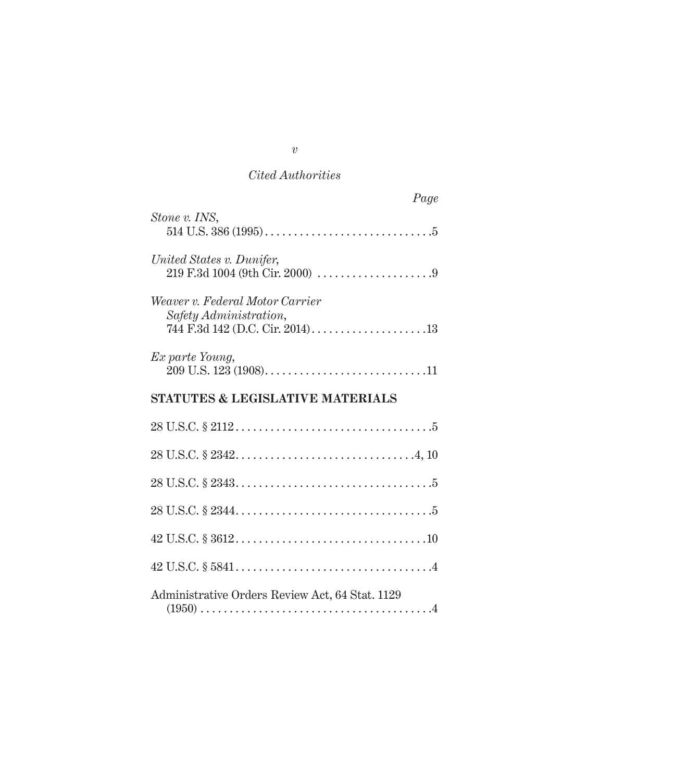| Page                                                      |
|-----------------------------------------------------------|
| Stone v. INS,                                             |
| United States v. Dunifer,                                 |
| Weaver v. Federal Motor Carrier<br>Safety Administration, |
| Ex parte Young,                                           |
| <b>STATUTES &amp; LEGISLATIVE MATERIALS</b>               |
|                                                           |
|                                                           |
|                                                           |
|                                                           |
|                                                           |
|                                                           |
| Administrative Orders Review Act, 64 Stat. 1129           |

*v*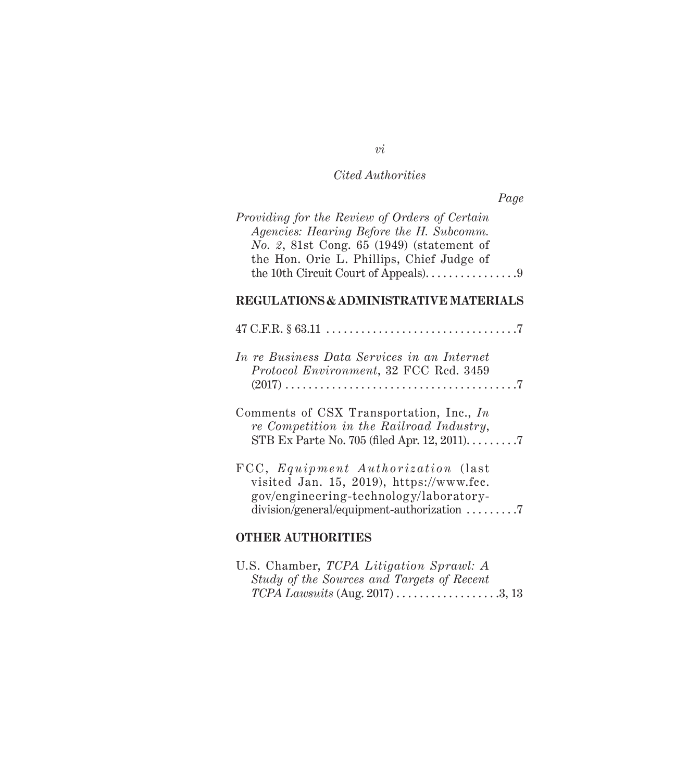*Page*

| <i>Providing for the Review of Orders of Certain</i> |
|------------------------------------------------------|
| Agencies: Hearing Before the H. Subcomm.             |
| No. 2, 81st Cong. $65$ (1949) (statement of          |
| the Hon. Orie L. Phillips, Chief Judge of            |
| the 10th Circuit Court of Appeals)9                  |
|                                                      |

## **REGULATIONS & ADMINISTRATIVE MATERIALS**

| In re Business Data Services in an Internet<br>Protocol Environment, 32 FCC Rcd. 3459                                    |
|--------------------------------------------------------------------------------------------------------------------------|
| Comments of CSX Transportation, Inc., In<br>re Competition in the Railroad Industry,                                     |
| FCC, Equipment Authorization (last<br>visited Jan. 15, 2019), https://www.fcc.<br>gov/engineering-technology/laboratory- |

# **OTHER AUTHORITIES**

| U.S. Chamber, TCPA Litigation Sprawl: A    |  |
|--------------------------------------------|--|
| Study of the Sources and Targets of Recent |  |
| $TCPA$ Lawsuits (Aug. 2017) 3, 13          |  |

### *vi*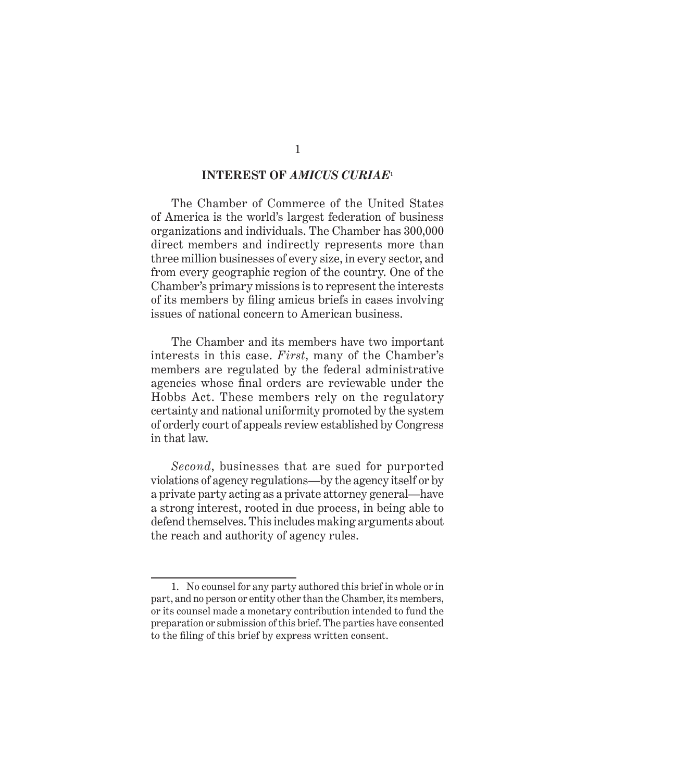#### **INTEREST OF** *AMICUS CURIAE***<sup>1</sup>**

The Chamber of Commerce of the United States of America is the world's largest federation of business organizations and individuals. The Chamber has 300,000 direct members and indirectly represents more than three million businesses of every size, in every sector, and from every geographic region of the country. One of the Chamber's primary missions is to represent the interests of its members by filing amicus briefs in cases involving issues of national concern to American business.

The Chamber and its members have two important interests in this case. *First*, many of the Chamber's members are regulated by the federal administrative agencies whose final orders are reviewable under the Hobbs Act. These members rely on the regulatory certainty and national uniformity promoted by the system of orderly court of appeals review established by Congress in that law.

*Second*, businesses that are sued for purported violations of agency regulations—by the agency itself or by a private party acting as a private attorney general—have a strong interest, rooted in due process, in being able to defend themselves. This includes making arguments about the reach and authority of agency rules.

<sup>1.</sup> No counsel for any party authored this brief in whole or in part, and no person or entity other than the Chamber, its members, or its counsel made a monetary contribution intended to fund the preparation or submission of this brief. The parties have consented to the filing of this brief by express written consent.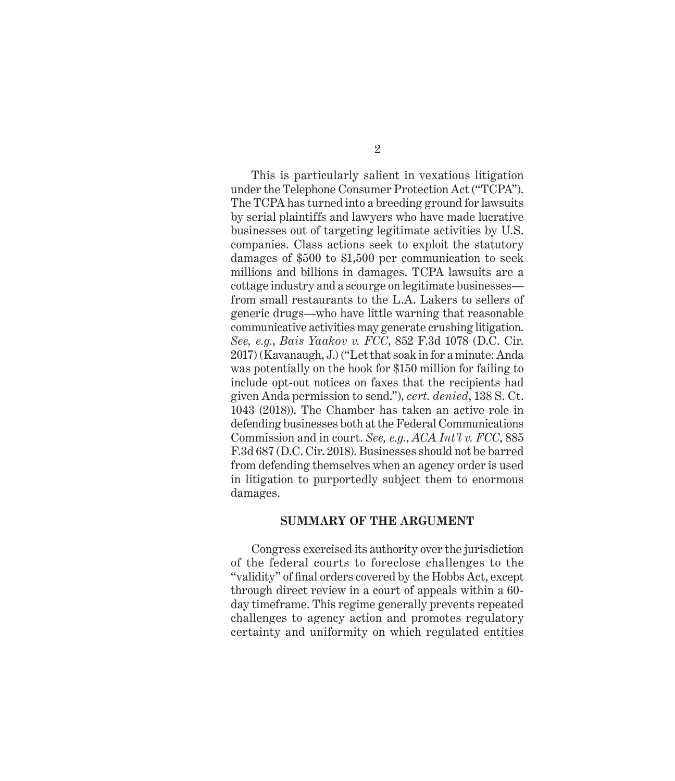This is particularly salient in vexatious litigation under the Telephone Consumer Protection Act ("TCPA"). The TCPA has turned into a breeding ground for lawsuits by serial plaintiffs and lawyers who have made lucrative businesses out of targeting legitimate activities by U.S. companies. Class actions seek to exploit the statutory damages of \$500 to \$1,500 per communication to seek millions and billions in damages. TCPA lawsuits are a cottage industry and a scourge on legitimate businesses from small restaurants to the L.A. Lakers to sellers of generic drugs—who have little warning that reasonable communicative activities may generate crushing litigation. *See, e.g.*, *Bais Yaakov v. FCC*, 852 F.3d 1078 (D.C. Cir. 2017) (Kavanaugh, J.) ("Let that soak in for a minute: Anda was potentially on the hook for \$150 million for failing to include opt-out notices on faxes that the recipients had given Anda permission to send."), *cert. denied*, 138 S. Ct. 1043 (2018)). The Chamber has taken an active role in defending businesses both at the Federal Communications Commission and in court. *See, e.g.*, *ACA Int'l v. FCC*, 885 F.3d 687 (D.C. Cir. 2018). Businesses should not be barred from defending themselves when an agency order is used in litigation to purportedly subject them to enormous damages.

#### **SUMMARY OF THE ARGUMENT**

Congress exercised its authority over the jurisdiction of the federal courts to foreclose challenges to the "validity" of final orders covered by the Hobbs Act, except through direct review in a court of appeals within a 60 day timeframe. This regime generally prevents repeated challenges to agency action and promotes regulatory certainty and uniformity on which regulated entities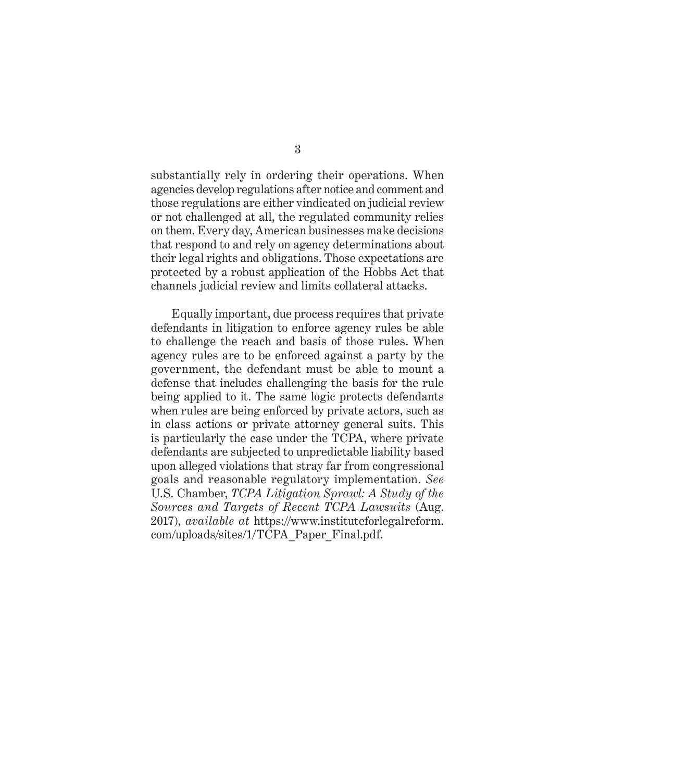substantially rely in ordering their operations. When agencies develop regulations after notice and comment and those regulations are either vindicated on judicial review or not challenged at all, the regulated community relies on them. Every day, American businesses make decisions that respond to and rely on agency determinations about their legal rights and obligations. Those expectations are protected by a robust application of the Hobbs Act that channels judicial review and limits collateral attacks.

Equally important, due process requires that private defendants in litigation to enforce agency rules be able to challenge the reach and basis of those rules. When agency rules are to be enforced against a party by the government, the defendant must be able to mount a defense that includes challenging the basis for the rule being applied to it. The same logic protects defendants when rules are being enforced by private actors, such as in class actions or private attorney general suits. This is particularly the case under the TCPA, where private defendants are subjected to unpredictable liability based upon alleged violations that stray far from congressional goals and reasonable regulatory implementation. *See*  U.S. Chamber, *TCPA Litigation Sprawl: A Study of the Sources and Targets of Recent TCPA Lawsuits* (Aug. 2017), *available at* https://www.instituteforlegalreform. com/uploads/sites/1/TCPA\_Paper\_Final.pdf.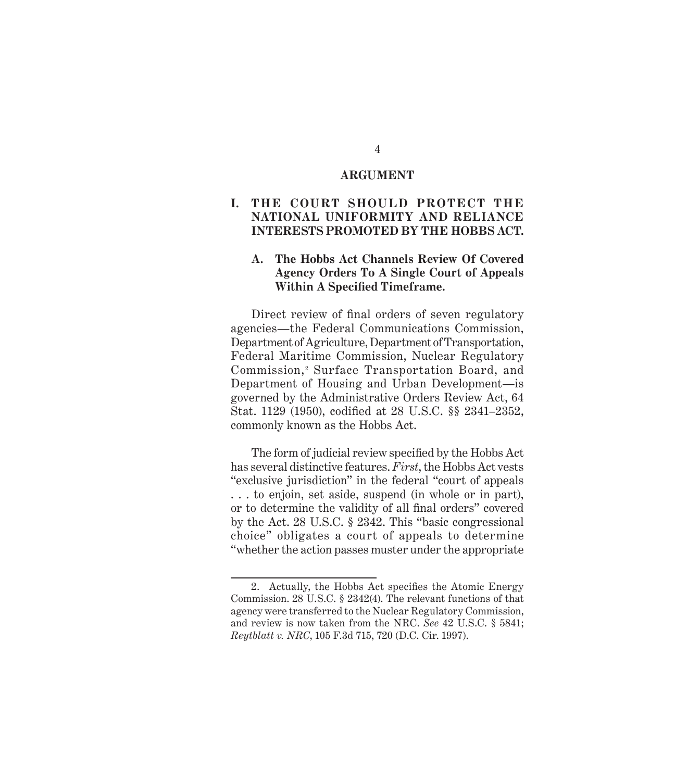#### **ARGUMENT**

### **I. THE COURT SHOULD PROTECT THE NATIONAL UNIFORMITY AND RELIANCE INTERESTS PROMOTED BY THE HOBBS ACT.**

#### **A. The Hobbs Act Channels Review Of Covered Agency Orders To A Single Court of Appeals Within A Specified Timeframe.**

Direct review of final orders of seven regulatory agencies—the Federal Communications Commission, Department of Agriculture, Department of Transportation, Federal Maritime Commission, Nuclear Regulatory Commission,<sup>2</sup> Surface Transportation Board, and Department of Housing and Urban Development—is governed by the Administrative Orders Review Act, 64 Stat. 1129 (1950), codified at 28 U.S.C. §§ 2341–2352, commonly known as the Hobbs Act.

The form of judicial review specified by the Hobbs Act has several distinctive features. *First*, the Hobbs Act vests "exclusive jurisdiction" in the federal "court of appeals . . . to enjoin, set aside, suspend (in whole or in part), or to determine the validity of all final orders" covered by the Act. 28 U.S.C. § 2342. This "basic congressional choice" obligates a court of appeals to determine "whether the action passes muster under the appropriate

<sup>2.</sup> Actually, the Hobbs Act specifies the Atomic Energy Commission. 28 U.S.C. § 2342(4). The relevant functions of that agency were transferred to the Nuclear Regulatory Commission, and review is now taken from the NRC. *See* 42 U.S.C. § 5841; *Reytblatt v. NRC*, 105 F.3d 715, 720 (D.C. Cir. 1997).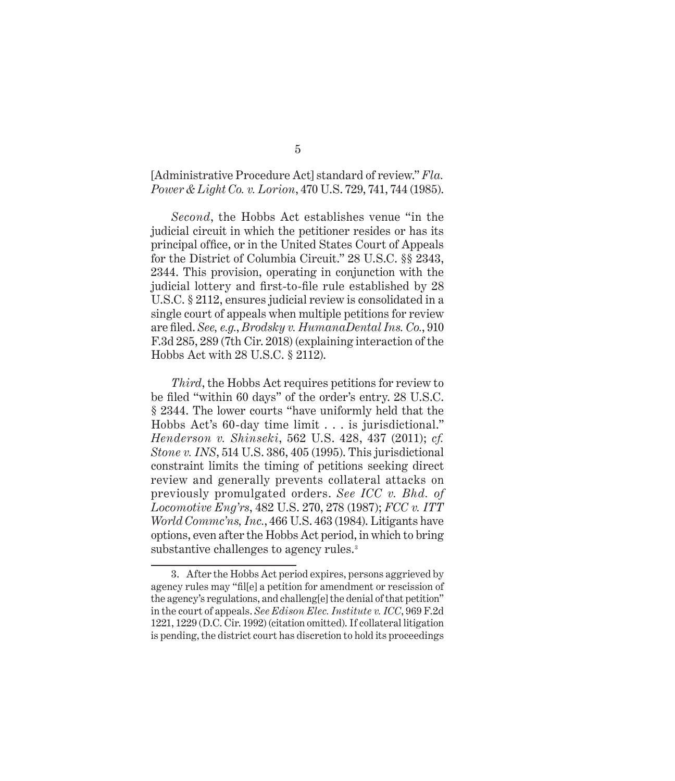#### [Administrative Procedure Act] standard of review." *Fla. Power & Light Co. v. Lorion*, 470 U.S. 729, 741, 744 (1985).

*Second*, the Hobbs Act establishes venue "in the judicial circuit in which the petitioner resides or has its principal office, or in the United States Court of Appeals for the District of Columbia Circuit." 28 U.S.C. §§ 2343, 2344. This provision, operating in conjunction with the judicial lottery and first-to-file rule established by 28 U.S.C. § 2112, ensures judicial review is consolidated in a single court of appeals when multiple petitions for review are filed. *See, e.g.*, *Brodsky v. HumanaDental Ins. Co.*, 910 F.3d 285, 289 (7th Cir. 2018) (explaining interaction of the Hobbs Act with 28 U.S.C. § 2112).

*Third*, the Hobbs Act requires petitions for review to be filed "within 60 days" of the order's entry. 28 U.S.C. § 2344. The lower courts "have uniformly held that the Hobbs Act's 60-day time limit . . . is jurisdictional." *Henderson v. Shinseki*, 562 U.S. 428, 437 (2011); *cf. Stone v. INS*, 514 U.S. 386, 405 (1995). This jurisdictional constraint limits the timing of petitions seeking direct review and generally prevents collateral attacks on previously promulgated orders. *See ICC v. Bhd. of Locomotive Eng'rs*, 482 U.S. 270, 278 (1987); *FCC v. ITT World Commc'ns, Inc.*, 466 U.S. 463 (1984). Litigants have options, even after the Hobbs Act period, in which to bring substantive challenges to agency rules.<sup>3</sup>

<sup>3.</sup> After the Hobbs Act period expires, persons aggrieved by agency rules may "fil[e] a petition for amendment or rescission of the agency's regulations, and challeng[e] the denial of that petition" in the court of appeals. *See Edison Elec. Institute v. ICC*, 969 F.2d 1221, 1229 (D.C. Cir. 1992) (citation omitted). If collateral litigation is pending, the district court has discretion to hold its proceedings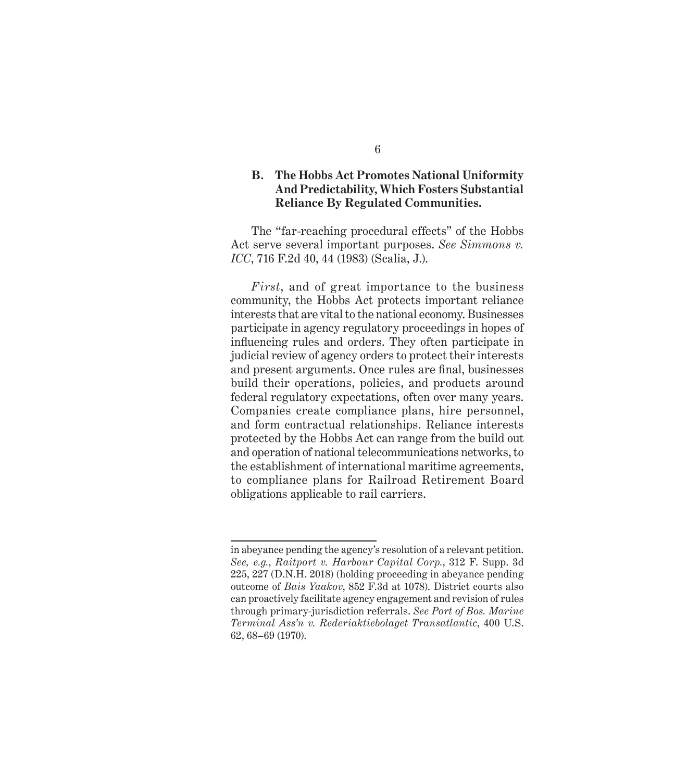### **B. The Hobbs Act Promotes National Uniformity And Predictability, Which Fosters Substantial Reliance By Regulated Communities.**

The "far-reaching procedural effects" of the Hobbs Act serve several important purposes. *See Simmons v. ICC*, 716 F.2d 40, 44 (1983) (Scalia, J.).

*First*, and of great importance to the business community, the Hobbs Act protects important reliance interests that are vital to the national economy. Businesses participate in agency regulatory proceedings in hopes of influencing rules and orders. They often participate in judicial review of agency orders to protect their interests and present arguments. Once rules are final, businesses build their operations, policies, and products around federal regulatory expectations, often over many years. Companies create compliance plans, hire personnel, and form contractual relationships. Reliance interests protected by the Hobbs Act can range from the build out and operation of national telecommunications networks, to the establishment of international maritime agreements, to compliance plans for Railroad Retirement Board obligations applicable to rail carriers.

in abeyance pending the agency's resolution of a relevant petition. *See, e.g.*, *Raitport v. Harbour Capital Corp.*, 312 F. Supp. 3d 225, 227 (D.N.H. 2018) (holding proceeding in abeyance pending outcome of *Bais Yaakov*, 852 F.3d at 1078). District courts also can proactively facilitate agency engagement and revision of rules through primary-jurisdiction referrals. *See Port of Bos. Marine Terminal Ass'n v. Rederiaktiebolaget Transatlantic*, 400 U.S. 62, 68–69 (1970).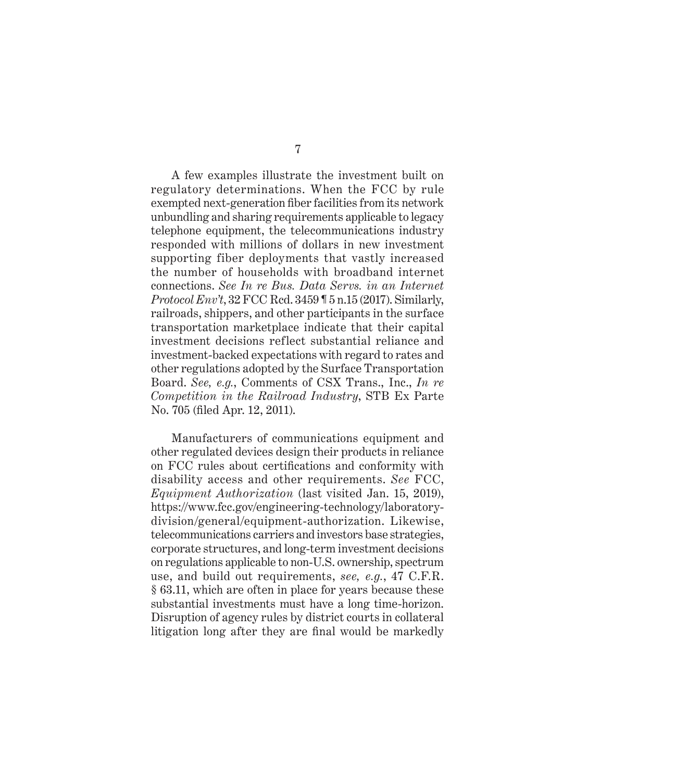A few examples illustrate the investment built on regulatory determinations. When the FCC by rule exempted next-generation fiber facilities from its network unbundling and sharing requirements applicable to legacy telephone equipment, the telecommunications industry responded with millions of dollars in new investment supporting fiber deployments that vastly increased the number of households with broadband internet connections. *See In re Bus. Data Servs. in an Internet Protocol Env't*, 32 FCC Rcd. 3459 ¶ 5 n.15 (2017). Similarly, railroads, shippers, and other participants in the surface transportation marketplace indicate that their capital investment decisions reflect substantial reliance and investment-backed expectations with regard to rates and other regulations adopted by the Surface Transportation Board. *See, e.g.*, Comments of CSX Trans., Inc., *In re Competition in the Railroad Industry*, STB Ex Parte No. 705 (filed Apr. 12, 2011).

Manufacturers of communications equipment and other regulated devices design their products in reliance on FCC rules about certifications and conformity with disability access and other requirements. *See* FCC, *Equipment Authorization* (last visited Jan. 15, 2019), https://www.fcc.gov/engineering-technology/laboratorydivision/general/equipment-authorization. Likewise, telecommunications carriers and investors base strategies, corporate structures, and long-term investment decisions on regulations applicable to non-U.S. ownership, spectrum use, and build out requirements, *see, e.g.*, 47 C.F.R. § 63.11, which are often in place for years because these substantial investments must have a long time-horizon. Disruption of agency rules by district courts in collateral litigation long after they are final would be markedly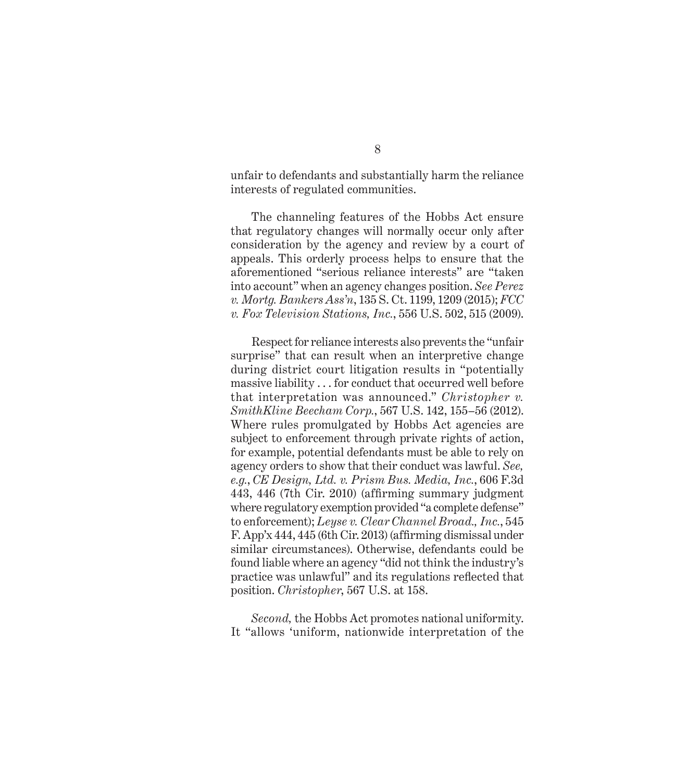unfair to defendants and substantially harm the reliance interests of regulated communities.

The channeling features of the Hobbs Act ensure that regulatory changes will normally occur only after consideration by the agency and review by a court of appeals. This orderly process helps to ensure that the aforementioned "serious reliance interests" are "taken into account" when an agency changes position. *See Perez v. Mortg. Bankers Ass'n*, 135 S. Ct. 1199, 1209 (2015); *FCC v. Fox Television Stations, Inc.*, 556 U.S. 502, 515 (2009).

Respect for reliance interests also prevents the "unfair surprise" that can result when an interpretive change during district court litigation results in "potentially massive liability . . . for conduct that occurred well before that interpretation was announced." *Christopher v. SmithKline Beecham Corp.*, 567 U.S. 142, 155–56 (2012). Where rules promulgated by Hobbs Act agencies are subject to enforcement through private rights of action, for example, potential defendants must be able to rely on agency orders to show that their conduct was lawful. *See, e.g.*, *CE Design, Ltd. v. Prism Bus. Media, Inc.*, 606 F.3d 443, 446 (7th Cir. 2010) (affirming summary judgment where regulatory exemption provided "a complete defense" to enforcement); *Leyse v. Clear Channel Broad., Inc.*, 545 F. App'x 444, 445 (6th Cir. 2013) (affirming dismissal under similar circumstances). Otherwise, defendants could be found liable where an agency "did not think the industry's practice was unlawful" and its regulations reflected that position. *Christopher*, 567 U.S. at 158.

*Second,* the Hobbs Act promotes national uniformity. It "allows 'uniform, nationwide interpretation of the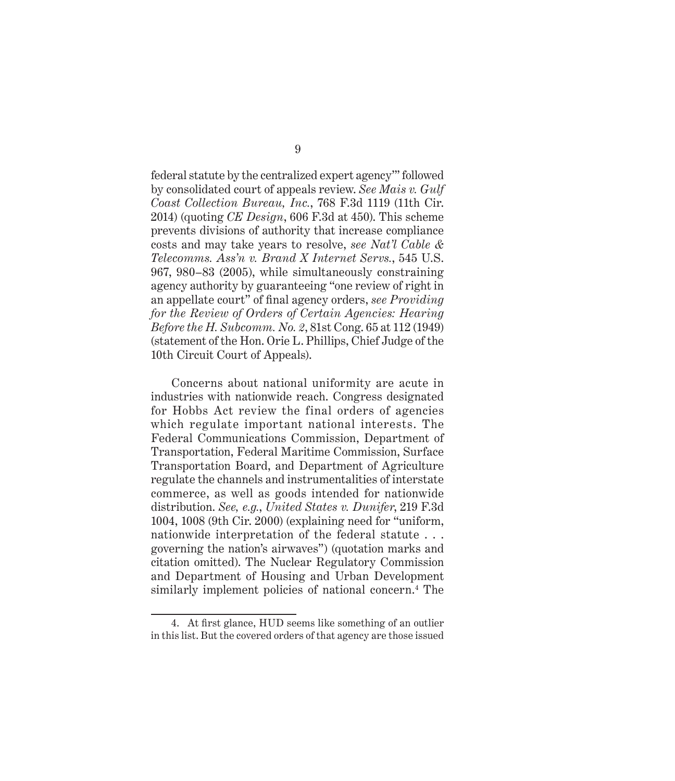federal statute by the centralized expert agency'" followed by consolidated court of appeals review. *See Mais v. Gulf Coast Collection Bureau, Inc.*, 768 F.3d 1119 (11th Cir. 2014) (quoting *CE Design*, 606 F.3d at 450). This scheme prevents divisions of authority that increase compliance costs and may take years to resolve, *see Nat'l Cable & Telecomms. Ass'n v. Brand X Internet Servs.*, 545 U.S. 967, 980–83 (2005), while simultaneously constraining agency authority by guaranteeing "one review of right in an appellate court" of final agency orders, *see Providing for the Review of Orders of Certain Agencies: Hearing Before the H. Subcomm. No. 2*, 81st Cong. 65 at 112 (1949) (statement of the Hon. Orie L. Phillips, Chief Judge of the 10th Circuit Court of Appeals).

Concerns about national uniformity are acute in industries with nationwide reach. Congress designated for Hobbs Act review the final orders of agencies which regulate important national interests. The Federal Communications Commission, Department of Transportation, Federal Maritime Commission, Surface Transportation Board, and Department of Agriculture regulate the channels and instrumentalities of interstate commerce, as well as goods intended for nationwide distribution. *See, e.g.*, *United States v. Dunifer*, 219 F.3d 1004, 1008 (9th Cir. 2000) (explaining need for "uniform, nationwide interpretation of the federal statute . . . governing the nation's airwaves") (quotation marks and citation omitted). The Nuclear Regulatory Commission and Department of Housing and Urban Development similarly implement policies of national concern.<sup>4</sup> The

<sup>4.</sup> At first glance, HUD seems like something of an outlier in this list. But the covered orders of that agency are those issued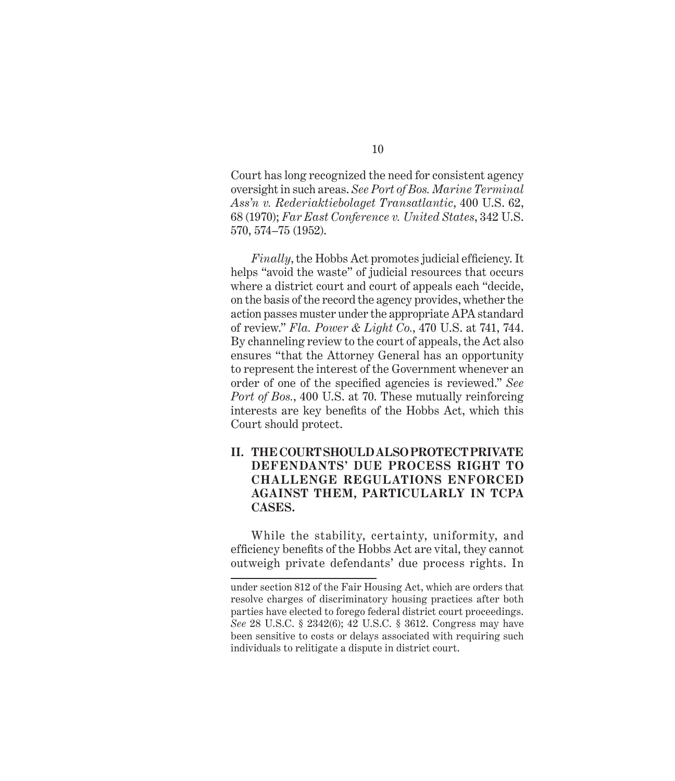Court has long recognized the need for consistent agency oversight in such areas. *See Port of Bos. Marine Terminal Ass'n v. Rederiaktiebolaget Transatlantic*, 400 U.S. 62, 68 (1970); *Far East Conference v. United States*, 342 U.S. 570, 574–75 (1952).

*Finally*, the Hobbs Act promotes judicial efficiency. It helps "avoid the waste" of judicial resources that occurs where a district court and court of appeals each "decide, on the basis of the record the agency provides, whether the action passes muster under the appropriate APA standard of review." *Fla. Power & Light Co.*, 470 U.S. at 741, 744. By channeling review to the court of appeals, the Act also ensures "that the Attorney General has an opportunity to represent the interest of the Government whenever an order of one of the specified agencies is reviewed." *See Port of Bos.*, 400 U.S. at 70. These mutually reinforcing interests are key benefits of the Hobbs Act, which this Court should protect.

### **II. THE COURT SHOULD ALSO PROTECT PRIVATE DEFENDANTS' DUE PROCESS RIGHT TO CHALLENGE REGULATIONS ENFORCED AGAINST THEM, PARTICULARLY IN TCPA CASES.**

While the stability, certainty, uniformity, and efficiency benefits of the Hobbs Act are vital, they cannot outweigh private defendants' due process rights. In

under section 812 of the Fair Housing Act, which are orders that resolve charges of discriminatory housing practices after both parties have elected to forego federal district court proceedings. *See* 28 U.S.C. § 2342(6); 42 U.S.C. § 3612. Congress may have been sensitive to costs or delays associated with requiring such individuals to relitigate a dispute in district court.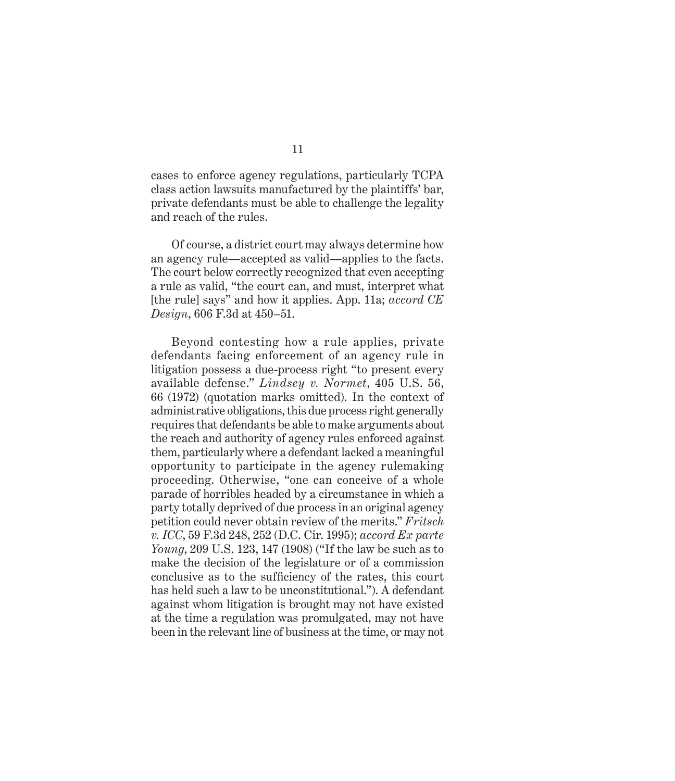cases to enforce agency regulations, particularly TCPA class action lawsuits manufactured by the plaintiffs' bar, private defendants must be able to challenge the legality and reach of the rules.

Of course, a district court may always determine how an agency rule—accepted as valid—applies to the facts. The court below correctly recognized that even accepting a rule as valid, "the court can, and must, interpret what [the rule] says" and how it applies. App. 11a; *accord CE Design*, 606 F.3d at 450–51.

Beyond contesting how a rule applies, private defendants facing enforcement of an agency rule in litigation possess a due-process right "to present every available defense." *Lindsey v. Normet*, 405 U.S. 56, 66 (1972) (quotation marks omitted). In the context of administrative obligations, this due process right generally requires that defendants be able to make arguments about the reach and authority of agency rules enforced against them, particularly where a defendant lacked a meaningful opportunity to participate in the agency rulemaking proceeding. Otherwise, "one can conceive of a whole parade of horribles headed by a circumstance in which a party totally deprived of due process in an original agency petition could never obtain review of the merits." *Fritsch v. ICC*, 59 F.3d 248, 252 (D.C. Cir. 1995); *accord Ex parte Young*, 209 U.S. 123, 147 (1908) ("If the law be such as to make the decision of the legislature or of a commission conclusive as to the sufficiency of the rates, this court has held such a law to be unconstitutional."). A defendant against whom litigation is brought may not have existed at the time a regulation was promulgated, may not have been in the relevant line of business at the time, or may not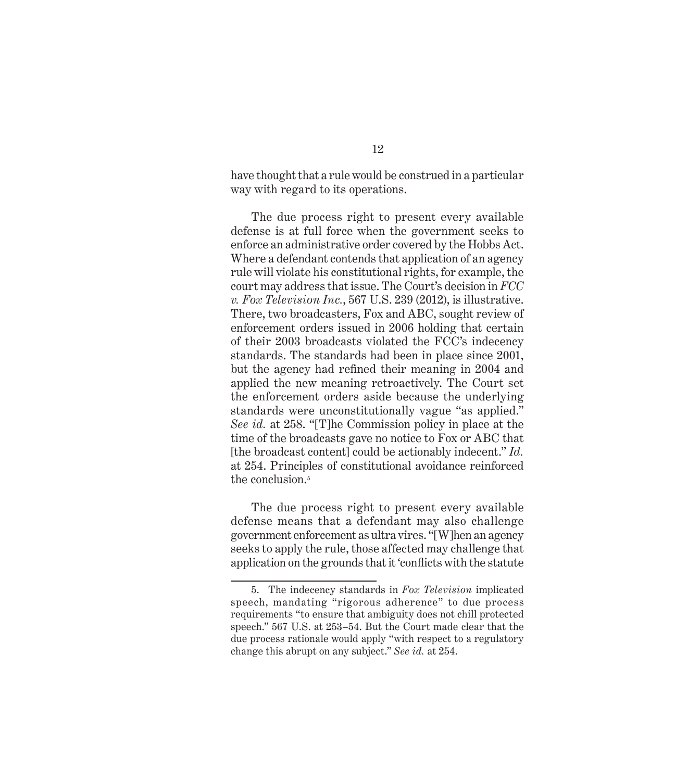have thought that a rule would be construed in a particular way with regard to its operations.

The due process right to present every available defense is at full force when the government seeks to enforce an administrative order covered by the Hobbs Act. Where a defendant contends that application of an agency rule will violate his constitutional rights, for example, the court may address that issue. The Court's decision in *FCC v. Fox Television Inc.*, 567 U.S. 239 (2012), is illustrative. There, two broadcasters, Fox and ABC, sought review of enforcement orders issued in 2006 holding that certain of their 2003 broadcasts violated the FCC's indecency standards. The standards had been in place since 2001, but the agency had refined their meaning in 2004 and applied the new meaning retroactively. The Court set the enforcement orders aside because the underlying standards were unconstitutionally vague "as applied." *See id.* at 258. "[T]he Commission policy in place at the time of the broadcasts gave no notice to Fox or ABC that [the broadcast content] could be actionably indecent." *Id.* at 254. Principles of constitutional avoidance reinforced the conclusion.<sup>5</sup>

The due process right to present every available defense means that a defendant may also challenge government enforcement as ultra vires. "[W]hen an agency seeks to apply the rule, those affected may challenge that application on the grounds that it 'conflicts with the statute

<sup>5.</sup> The indecency standards in *Fox Television* implicated speech, mandating "rigorous adherence" to due process requirements "to ensure that ambiguity does not chill protected speech." 567 U.S. at 253–54. But the Court made clear that the due process rationale would apply "with respect to a regulatory change this abrupt on any subject." *See id.* at 254.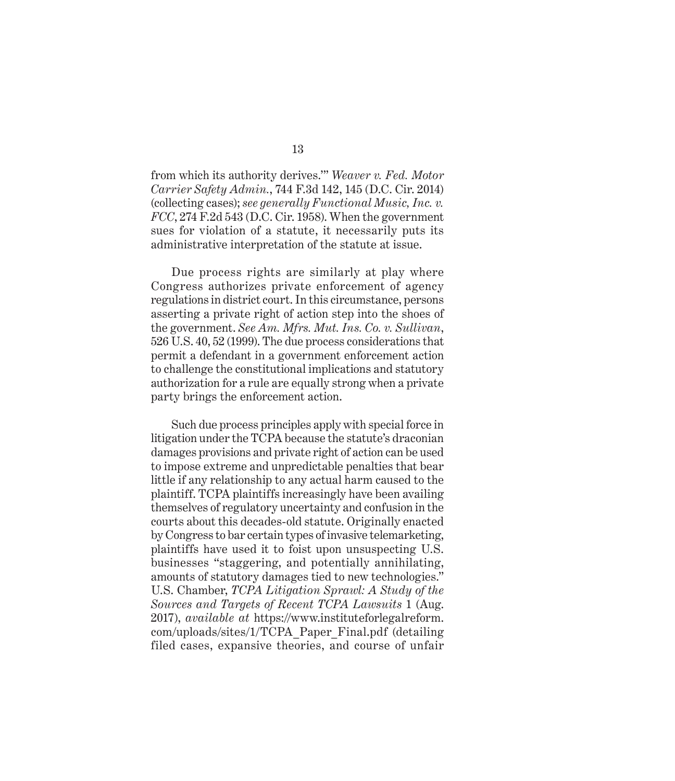from which its authority derives.'" *Weaver v. Fed. Motor Carrier Safety Admin.*, 744 F.3d 142, 145 (D.C. Cir. 2014) (collecting cases); *see generally Functional Music, Inc. v. FCC*, 274 F.2d 543 (D.C. Cir. 1958). When the government sues for violation of a statute, it necessarily puts its administrative interpretation of the statute at issue.

Due process rights are similarly at play where Congress authorizes private enforcement of agency regulations in district court. In this circumstance, persons asserting a private right of action step into the shoes of the government. *See Am. Mfrs. Mut. Ins. Co. v. Sullivan*, 526 U.S. 40, 52 (1999). The due process considerations that permit a defendant in a government enforcement action to challenge the constitutional implications and statutory authorization for a rule are equally strong when a private party brings the enforcement action.

Such due process principles apply with special force in litigation under the TCPA because the statute's draconian damages provisions and private right of action can be used to impose extreme and unpredictable penalties that bear little if any relationship to any actual harm caused to the plaintiff. TCPA plaintiffs increasingly have been availing themselves of regulatory uncertainty and confusion in the courts about this decades-old statute. Originally enacted by Congress to bar certain types of invasive telemarketing, plaintiffs have used it to foist upon unsuspecting U.S. businesses "staggering, and potentially annihilating, amounts of statutory damages tied to new technologies." U.S. Chamber, *TCPA Litigation Sprawl: A Study of the Sources and Targets of Recent TCPA Lawsuits* 1 (Aug. 2017), *available at* https://www.instituteforlegalreform. com/uploads/sites/1/TCPA\_Paper\_Final.pdf (detailing filed cases, expansive theories, and course of unfair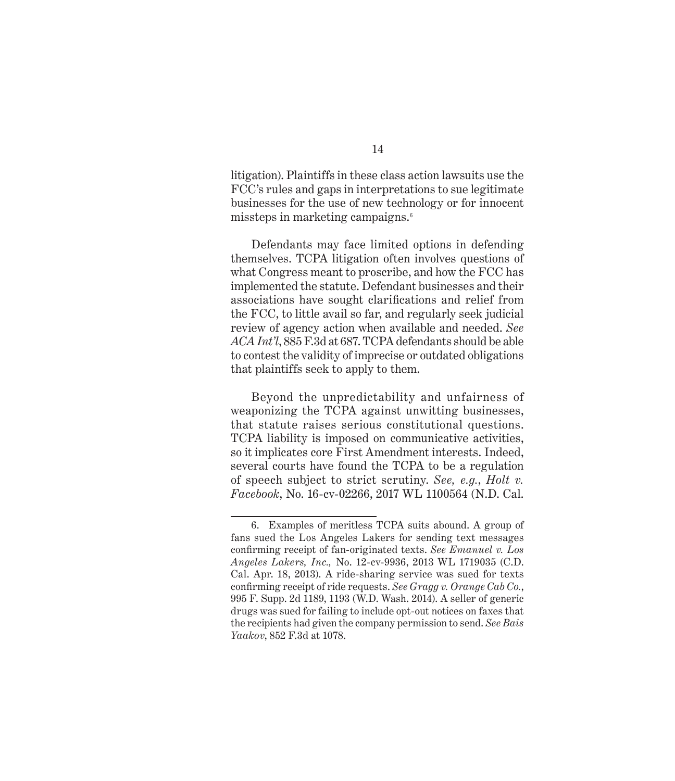litigation). Plaintiffs in these class action lawsuits use the FCC's rules and gaps in interpretations to sue legitimate businesses for the use of new technology or for innocent missteps in marketing campaigns.6

Defendants may face limited options in defending themselves. TCPA litigation often involves questions of what Congress meant to proscribe, and how the FCC has implemented the statute. Defendant businesses and their associations have sought clarifications and relief from the FCC, to little avail so far, and regularly seek judicial review of agency action when available and needed. *See ACA Int'l*, 885 F.3d at 687. TCPA defendants should be able to contest the validity of imprecise or outdated obligations that plaintiffs seek to apply to them.

Beyond the unpredictability and unfairness of weaponizing the TCPA against unwitting businesses, that statute raises serious constitutional questions. TCPA liability is imposed on communicative activities, so it implicates core First Amendment interests. Indeed, several courts have found the TCPA to be a regulation of speech subject to strict scrutiny. *See, e.g.*, *Holt v. Facebook*, No. 16-cv-02266, 2017 WL 1100564 (N.D. Cal.

<sup>6.</sup> Examples of meritless TCPA suits abound. A group of fans sued the Los Angeles Lakers for sending text messages confirming receipt of fan-originated texts. *See Emanuel v. Los Angeles Lakers, Inc.,* No. 12-cv-9936, 2013 WL 1719035 (C.D. Cal. Apr. 18, 2013). A ride-sharing service was sued for texts confirming receipt of ride requests. *See Gragg v. Orange Cab Co.*, 995 F. Supp. 2d 1189, 1193 (W.D. Wash. 2014). A seller of generic drugs was sued for failing to include opt-out notices on faxes that the recipients had given the company permission to send. *See Bais Yaakov*, 852 F.3d at 1078.